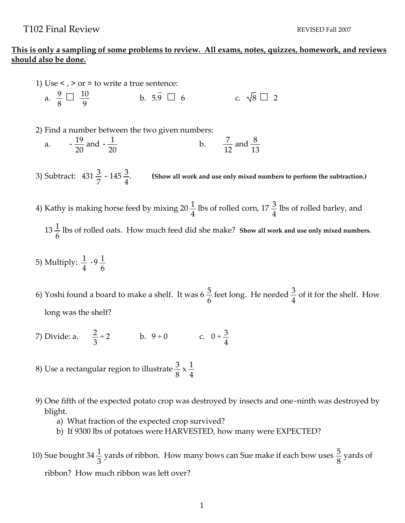## **This is only a sampling of some problems to review. All exams, notes, quizzes, homework, and reviews should also be done.**

- 1) Use  $\lt$ ,  $>$  or = to write a true sentence: a.  $\frac{9}{9}$ 8  $\frac{10}{\Omega}$ 9 to write a true sentence:<br>
b.  $5.\overline{9}$  6 c.  $\sqrt{8}$  2
- 2) Find a number between the two given numbers:
	- a.  $-\frac{19}{20}$ 20 and  $-\frac{1}{20}$ 20 b.  $\frac{7}{16}$ 12 and  $\frac{8}{16}$ 13
- 3) Subtract:  $431\frac{3}{7}$   $145\frac{3}{4}$ . **(Show all work and use only mixed numbers to perform the subtraction.)**
- 4) Kathy is making horse feed by mixing 20  $\frac{1}{4}$ 4 lbs of rolled corn, 17 $\frac{3}{4}$ 4 lbs of rolled barley, and  $13\frac{1}{6}$ 6 lbs of rolled oats. How much feed did she make? **Show all work and use only mixed numbers.**
- 5) Multiply:  $\frac{1}{4} \cdot 9 \frac{1}{6}$
- 6) Yoshi found a board to make a shelf. It was 6  $\frac{5}{6}$ 6 feet long. He needed  $\frac{3}{4}$ 4 of it for the shelf. How long was the shelf?
- 7) Divide: a.  $\frac{2}{3}$ 3  $\div 2$  b. 9 ÷ 0 c. 0 ÷  $\frac{3}{4}$ 4
- 8) Use a rectangular region to illustrate  $\frac{3}{8}$ 8  $x\frac{1}{4}$ 4
- 9) One fifth of the expected potato crop was destroyed by insects and one-ninth was destroyed by blight.
	- a) What fraction of the expected crop survived?
	- b) If 9300 lbs of potatoes were HARVESTED, how many were EXPECTED?
- 10) Sue bought 34  $\frac{1}{2}$ 3 yards of ribbon. How many bows can Sue make if each bow uses  $\frac{5}{9}$ 8 yards of ribbon? How much ribbon was left over?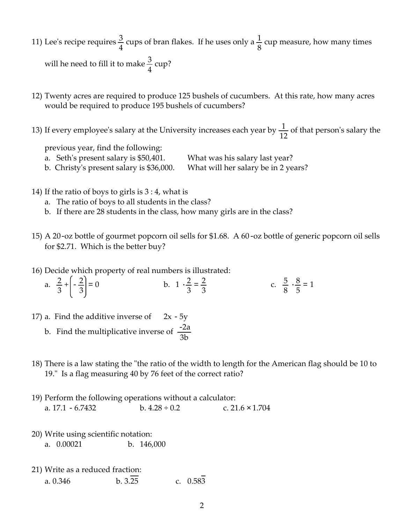- 11) Lee's recipe requires  $\frac{3}{4}$ 4 cups of bran flakes. If he uses only a  $\frac{1}{2}$ 8 cup measure, how many times will he need to fill it to make  $\frac{3}{4}$ 4 cup?
- 12) Twenty acres are required to produce 125 bushels of cucumbers. At this rate, how many acres would be required to produce 195 bushels of cucumbers?
- 13) If every employee's salary at the University increases each year by  $\frac{1}{12}$  of that person's salary the

previous year, find the following:

- a. Seth's present salary is \$50,401. What was his salary last year?
- b. Christyʹs present salary is \$36,000. What will her salary be in 2 years?
- 14) If the ratio of boys to girls is 3 : 4, what is
	- a. The ratio of boys to all students in the class?
	- b. If there are 28 students in the class, how many girls are in the class?
- 15) A 20-oz bottle of gourmet popcorn oil sells for \$1.68. A 60-oz bottle of generic popcorn oil sells for \$2.71. Which is the better buy?
- 16) Decide which property of real numbers is illustrated:
	- a.  $\frac{2}{2}$ 3  $+\left(-\frac{2}{2}\right)$  $\left(\frac{2}{3}\right) = 0$  b.  $1 \cdot \frac{2}{3} = \frac{2}{3}$ c.  $\frac{5}{8} \cdot \frac{8}{5} = 1$
- 17) a. Find the additive inverse of  $2x 5y$ 
	- b. Find the multiplicative inverse of  $\frac{-2a}{2}$ 3b
- 18) There is a law stating the "the ratio of the width to length for the American flag should be 10 to 19." Is a flag measuring 40 by 76 feet of the correct ratio?
- 19) Perform the following operations without a calculator: a.  $17.1 - 6.7432$  b.  $4.28 \div 0.2$  c.  $21.6 \times 1.704$
- 20) Write using scientific notation: a. 0.00021 b. 146,000
- 21) Write as a reduced fraction: a. 0.346 b.  $3.\overline{25}$  c. 0.583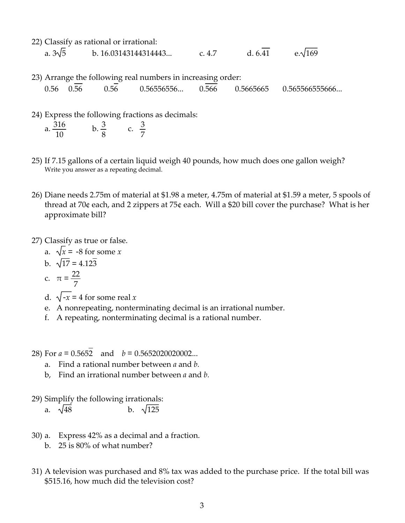- 22) Classify as rational or irrational: a.  $3\sqrt{5}$  b. 16.03143144314443... c. 4.7 d. 6.41 e. $\sqrt{169}$
- 23) Arrange the following real numbers in increasing order: 0.56 0.56 0.56 0.56556556... 0.566 0.5665665 0.565566555666...
- 24) Express the following fractions as decimals:

| 316<br>a |  |  |
|----------|--|--|
| 10       |  |  |

- 25) If 7.15 gallons of a certain liquid weigh 40 pounds, how much does one gallon weigh? Write you answer as a repeating decimal.
- 26) Diane needs 2.75m of material at \$1.98 a meter, 4.75m of material at \$1.59 a meter, 5 spools of thread at 70¢ each, and 2 zippers at 75¢ each. Will a \$20 bill cover the purchase? What is her approximate bill?
- 27) Classify as true or false.
	- a.  $\sqrt{x}$  = -8 for some *x*
	- b.  $\sqrt{17} = 4.123$

c. 
$$
\pi = \frac{22}{7}
$$

- d.  $\sqrt{-x}$  = 4 for some real *x*
- e. A nonrepeating, nonterminating decimal is an irrational number.
- f. A repeating, nonterminating decimal is a rational number.
- 28) For *a* = 0.5652 and *b* = 0.5652020020002...
	- a. Find a rational number between *a* and *b.*
	- b, Find an irrational number between *a* and *b.*
- 29) Simplify the following irrationals:
	- a.  $\sqrt{48}$  b.  $\sqrt{125}$
- 30) a. Express 42% as a decimal and a fraction.
	- b. 25 is 80% of what number?
- 31) A television was purchased and 8% tax was added to the purchase price. If the total bill was \$515.16, how much did the television cost?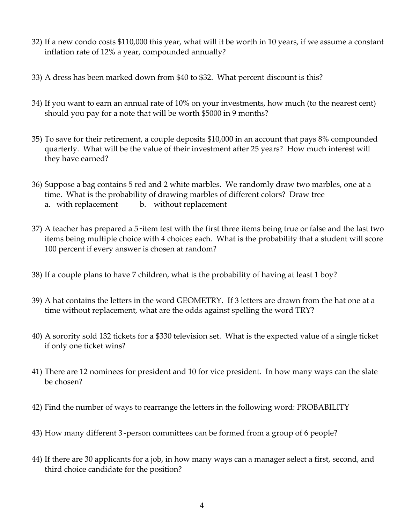- 32) If a new condo costs \$110,000 this year, what will it be worth in 10 years, if we assume a constant inflation rate of 12% a year, compounded annually?
- 33) A dress has been marked down from \$40 to \$32. What percent discount is this?
- 34) If you want to earn an annual rate of 10% on your investments, how much (to the nearest cent) should you pay for a note that will be worth \$5000 in 9 months?
- 35) To save for their retirement, a couple deposits \$10,000 in an account that pays 8% compounded quarterly. What will be the value of their investment after 25 years? How much interest will they have earned?
- 36) Suppose a bag contains 5 red and 2 white marbles. We randomly draw two marbles, one at a time. What is the probability of drawing marbles of different colors? Draw tree a. with replacement b. without replacement
- 37) A teacher has prepared a 5-item test with the first three items being true or false and the last two items being multiple choice with 4 choices each. What is the probability that a student will score 100 percent if every answer is chosen at random?
- 38) If a couple plans to have 7 children, what is the probability of having at least 1 boy?
- 39) A hat contains the letters in the word GEOMETRY. If 3 letters are drawn from the hat one at a time without replacement, what are the odds against spelling the word TRY?
- 40) A sorority sold 132 tickets for a \$330 television set. What is the expected value of a single ticket if only one ticket wins?
- 41) There are 12 nominees for president and 10 for vice president. In how many ways can the slate be chosen?
- 42) Find the number of ways to rearrange the letters in the following word: PROBABILITY
- 43) How many different 3-person committees can be formed from a group of 6 people?
- 44) If there are 30 applicants for a job, in how many ways can a manager select a first, second, and third choice candidate for the position?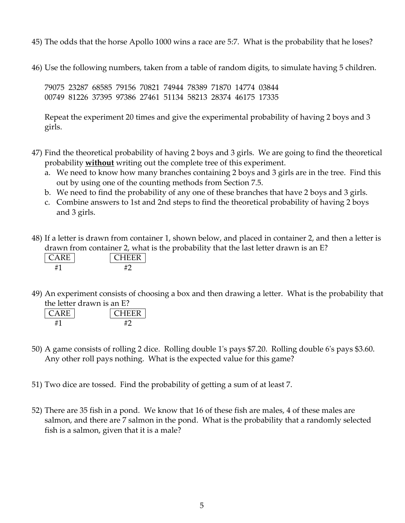- 45) The odds that the horse Apollo 1000 wins a race are 5:7. What is the probability that he loses?
- 46) Use the following numbers, taken from a table of random digits, to simulate having 5 children.

79075 23287 68585 79156 70821 74944 78389 71870 14774 03844 00749 81226 37395 97386 27461 51134 58213 28374 46175 17335

Repeat the experiment 20 times and give the experimental probability of having 2 boys and 3 girls.

- 47) Find the theoretical probability of having 2 boys and 3 girls. We are going to find the theoretical probability **without** writing out the complete tree of this experiment.
	- a. We need to know how many branches containing 2 boys and 3 girls are in the tree. Find this out by using one of the counting methods from Section 7.5.
	- b. We need to find the probability of any one of these branches that have 2 boys and 3 girls.
	- c. Combine answers to 1st and 2nd steps to find the theoretical probability of having 2 boys and 3 girls.
- 48) If a letter is drawn from container 1, shown below, and placed in container 2, and then a letter is drawn from container 2, what is the probability that the last letter drawn is an E?

| レロ |  |
|----|--|
|    |  |

49) An experiment consists of choosing a box and then drawing a letter. What is the probability that the letter drawn is an E?

| ш | нн<br>ы, |
|---|----------|
|   |          |

- 50) A game consists of rolling 2 dice. Rolling double 1ʹs pays \$7.20. Rolling double 6ʹs pays \$3.60. Any other roll pays nothing. What is the expected value for this game?
- 51) Two dice are tossed. Find the probability of getting a sum of at least 7.
- 52) There are 35 fish in a pond. We know that 16 of these fish are males, 4 of these males are salmon, and there are 7 salmon in the pond. What is the probability that a randomly selected fish is a salmon, given that it is a male?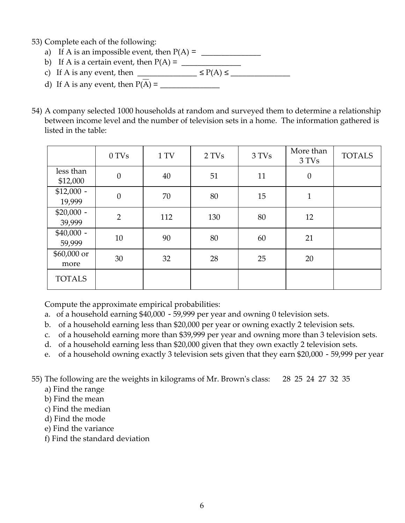- 53) Complete each of the following:
	- a) If A is an impossible event, then P(A) = \_\_\_\_\_\_\_\_\_\_\_\_\_\_\_
	- b) If A is a certain event, then  $P(A) = \square$
	- c) If A is any event, then  $\overline{P(A)}$
	- d) If A is any event, then P(A) = \_\_\_\_\_\_\_\_\_\_\_\_\_\_\_
- 54) A company selected 1000 households at random and surveyed them to determine a relationship between income level and the number of television sets in a home. The information gathered is listed in the table:

|                       | 0 TVs            | 1 TV | 2 TVs | 3 TVs | More than<br>3 TVs | <b>TOTALS</b> |  |
|-----------------------|------------------|------|-------|-------|--------------------|---------------|--|
| less than<br>\$12,000 | $\boldsymbol{0}$ | 40   | 51    | 11    | $\boldsymbol{0}$   |               |  |
| $$12,000 -$<br>19,999 | $\boldsymbol{0}$ | 70   | 80    | 15    | $\mathbf{1}$       |               |  |
| $$20,000 -$<br>39,999 | $\overline{2}$   | 112  | 130   | 80    | 12                 |               |  |
| $$40,000 -$<br>59,999 | 10               | 90   | 80    | 60    | 21                 |               |  |
| \$60,000 or<br>more   | 30               | 32   | 28    | 25    | 20                 |               |  |
| <b>TOTALS</b>         |                  |      |       |       |                    |               |  |

Compute the approximate empirical probabilities:

- a. of a household earning \$40,000 59,999 per year and owning 0 television sets.
- b. of a household earning less than \$20,000 per year or owning exactly 2 television sets.
- c. of a household earning more than \$39,999 per year and owning more than 3 television sets.
- d. of a household earning less than \$20,000 given that they own exactly 2 television sets.
- e. of a household owning exactly 3 television sets given that they earn \$20,000 59,999 per year

55) The following are the weights in kilograms of Mr. Brownʹs class: 28 25 24 27 32 35

- a) Find the range
- b) Find the mean
- c) Find the median
- d) Find the mode
- e) Find the variance
- f) Find the standard deviation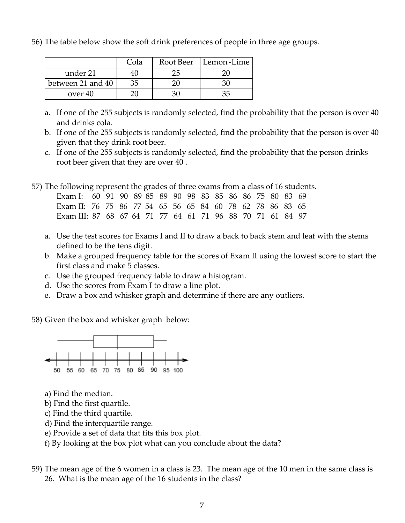56) The table below show the soft drink preferences of people in three age groups.

|                   | Cola | Root Beer | Lemon-Lime |
|-------------------|------|-----------|------------|
| under 21          |      |           |            |
| between 21 and 40 | 35   |           |            |
| over 40           |      |           |            |

- a. If one of the 255 subjects is randomly selected, find the probability that the person is over 40 and drinks cola.
- b. If one of the 255 subjects is randomly selected, find the probability that the person is over 40 given that they drink root beer.
- c. If one of the 255 subjects is randomly selected, find the probability that the person drinks root beer given that they are over 40 .

57) The following represent the grades of three exams from a class of 16 students.

| Exam I: 60 91 90 89 85 89 90 98 83 85 86 86 75 80 83 69   |  |  |  |  |  |  |  |  |
|-----------------------------------------------------------|--|--|--|--|--|--|--|--|
| Exam II: 76 75 86 77 54 65 56 65 84 60 78 62 78 86 83 65  |  |  |  |  |  |  |  |  |
| Exam III: 87 68 67 64 71 77 64 61 71 96 88 70 71 61 84 97 |  |  |  |  |  |  |  |  |

- a. Use the test scores for Exams I and II to draw a back to back stem and leaf with the stems defined to be the tens digit.
- b. Make a grouped frequency table for the scores of Exam II using the lowest score to start the first class and make 5 classes.
- c. Use the grouped frequency table to draw a histogram.
- d. Use the scores from Exam I to draw a line plot.
- e. Draw a box and whisker graph and determine if there are any outliers.

58) Given the box and whisker graph below:



- a) Find the median.
- b) Find the first quartile.
- c) Find the third quartile.
- d) Find the interquartile range.
- e) Provide a set of data that fits this box plot.

f) By looking at the box plot what can you conclude about the data?

59) The mean age of the 6 women in a class is 23. The mean age of the 10 men in the same class is 26. What is the mean age of the 16 students in the class?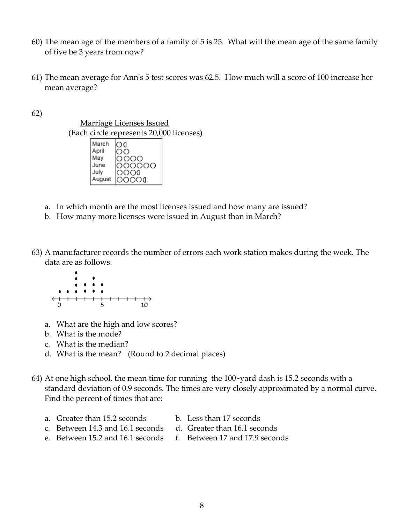- 60) The mean age of the members of a family of 5 is 25. What will the mean age of the same family of five be 3 years from now?
- 61) The mean average for Annʹs 5 test scores was 62.5. How much will a score of 100 increase her mean average?

62)



- a. In which month are the most licenses issued and how many are issued?
- b. How many more licenses were issued in August than in March?
- 63) A manufacturer records the number of errors each work station makes during the week. The data are as follows.



- a. What are the high and low scores?
- b. What is the mode?
- c. What is the median?
- d. What is the mean? (Round to 2 decimal places)
- 64) At one high school, the mean time for running the 100-yard dash is 15.2 seconds with a standard deviation of 0.9 seconds. The times are very closely approximated by a normal curve. Find the percent of times that are:
	- a. Greater than 15.2 seconds b. Less than 17 seconds
	- c. Between 14.3 and 16.1 seconds d. Greater than 16.1 seconds
- -
	- e. Between 15.2 and 16.1 seconds f. Between 17 and 17.9 seconds
-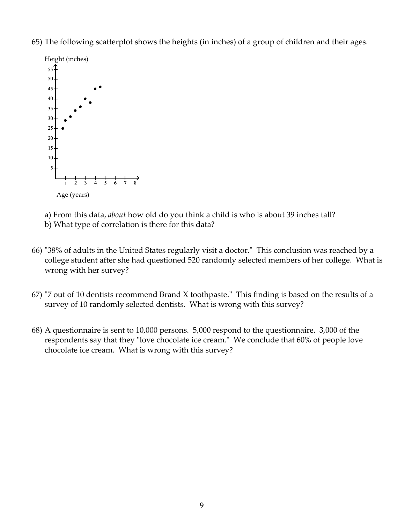65) The following scatterplot shows the heights (in inches) of a group of children and their ages.



a) From this data, *about* how old do you think a child is who is about 39 inches tall?

b) What type of correlation is there for this data?

- 66) "38% of adults in the United States regularly visit a doctor." This conclusion was reached by a college student after she had questioned 520 randomly selected members of her college. What is wrong with her survey?
- 67) "7 out of 10 dentists recommend Brand X toothpaste." This finding is based on the results of a survey of 10 randomly selected dentists. What is wrong with this survey?
- 68) A questionnaire is sent to 10,000 persons. 5,000 respond to the questionnaire. 3,000 of the respondents say that they "love chocolate ice cream." We conclude that 60% of people love chocolate ice cream. What is wrong with this survey?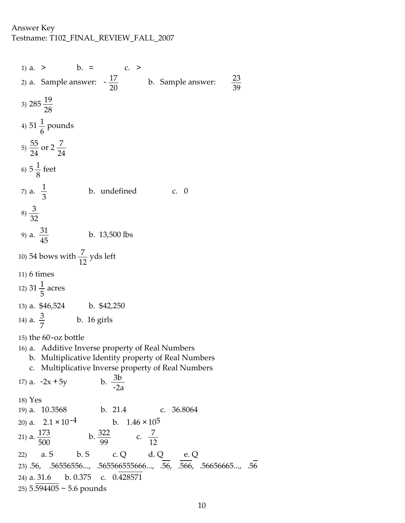1) a.  $>$  b. = c. > 2) a. Sample answer:  $-\frac{17}{20}$  b. Sample answer:  $\frac{23}{39}$  $\frac{23}{39}$ 3)  $285\frac{19}{29}$ 28 4)  $51\frac{1}{7}$ 6 pounds  $(5) \frac{55}{3}$ 24 or  $2\frac{7}{2}$ 24 6)  $5\frac{1}{9}$ 8 feet 7) a.  $\frac{1}{2}$ 3 b. undefined c. 0  $(8) \frac{3}{25}$ 32 9) a.  $\frac{31}{45}$  b. 13,500 lbs 10) 54 bows with  $\frac{7}{12}$  yds left 11) 6 times 12) 31  $\frac{1}{5}$ 5 acres 13) a. \$46,524 b. \$42,250 14) a.  $\frac{3}{7}$  b. 16 girls 15) the 60-oz bottle 16) a. Additive Inverse property of Real Numbers b. Multiplicative Identity property of Real Numbers c. Multiplicative Inverse property of Real Numbers 17) a.  $-2x + 5y$ b.  $\frac{3b}{2a}$ 18) Yes 19) a. 10.3568 b. 21.4 c. 36.8064 20) a.  $2.1 \times 10^{-4}$  b.  $1.46 \times 10^{5}$ 21) a.  $\frac{173}{500}$ 500  $b. \frac{322}{00}$ 99 c.  $\frac{7}{16}$ 12 22) a. S b. S c. Q d. Q e. Q 23) .56, .56556556..., .565566555666..., .56, .566, .56656665..., .56 24) a. 31.6 b. 0.375 c. 0.428571 25) 5.594405 ~ 5.6 pounds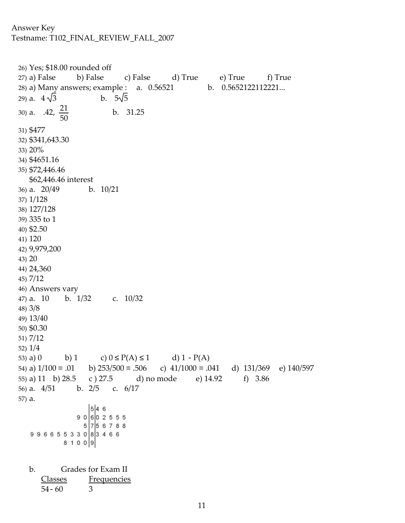```
26) Yes; $18.00 rounded off
27) a) False b) False c) False d) True e) True f) True
28) a) Many answers; example : a. 0.56521 b. 0.5652122112221...<br>29) a. 4\sqrt{3} b. 5\sqrt{5}29) a. 4\sqrt{3}30) a. .42, \frac{21}{50}b. 31.25
           50
31) $477
32) $341,643.30
33) 20%
34) $4651.16
35) $72,446.46
  $62,446.46 interest
36) a. 20/49 b. 10/21
37) 1/128
38) 127/128
39) 335 to 1
40) $2.50
41) 120
42) 9,979,200
43) 20
44) 24,360
45) 7/12
46) Answers vary
47) a. 10 b. 1/32 c. 10/32
48) 3/8
49) 13/40
50) $0.30
51) 7/12
52) 1/4
53) a) 0 b) 1 c) 0 P(A) 1 d) 1 - P(A)
54) a) 1/100 = .01 b) 253/500 = .506 c) 41/1000 = .041 d) 131/369 e) 140/59755) a) 11 b) 28.5 c ) 27.5 d) no mode e) 14.92 f) 3.86
56) a. 4/51 b. 2/5 c. 6/17
57) a.
                  546
               9 0 6 0 2 5 5 5
                 5|7|5678899665533083466
            8 1 0 0 9
  b. Grades for Exam II
     Classes Frequencies
      54- 60 3
```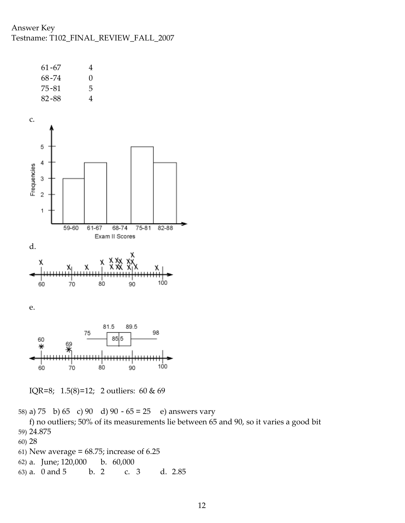

IQR=8; 1.5(8)=12; 2 outliers: 60 & 69

58) a) 75 b) 65 c) 90 d) 90 - 65 = 25 e) answers vary

f) no outliers; 50% of its measurements lie between 65 and 90, so it varies a good bit 59) 24.875

- 60) 28
- 61) New average =  $68.75$ ; increase of  $6.25$
- 62) a. June; 120,000 b. 60,000
- 63) a. 0 and 5 b. 2 c. 3 d. 2.85